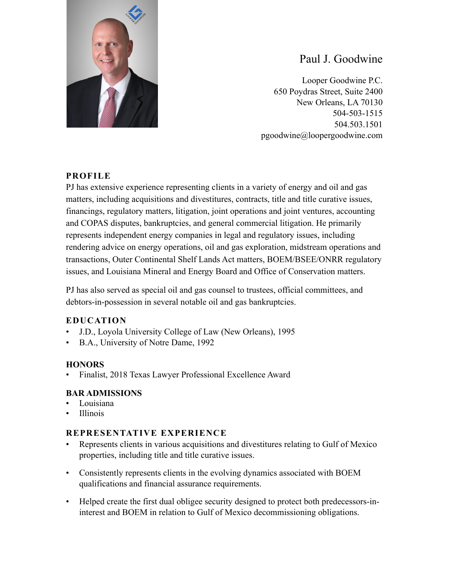

# Paul J. Goodwine

Looper Goodwine P.C. 650 Poydras Street, Suite 2400 New Orleans, LA 70130 504-503-1515 504.503.1501 pgoodwine@loopergoodwine.com

## **PROFILE**

PJ has extensive experience representing clients in a variety of energy and oil and gas matters, including acquisitions and divestitures, contracts, title and title curative issues, financings, regulatory matters, litigation, joint operations and joint ventures, accounting and COPAS disputes, bankruptcies, and general commercial litigation. He primarily represents independent energy companies in legal and regulatory issues, including rendering advice on energy operations, oil and gas exploration, midstream operations and transactions, Outer Continental Shelf Lands Act matters, BOEM/BSEE/ONRR regulatory issues, and Louisiana Mineral and Energy Board and Office of Conservation matters.

PJ has also served as special oil and gas counsel to trustees, official committees, and debtors-in-possession in several notable oil and gas bankruptcies.

### **EDUCATION**

- J.D., Loyola University College of Law (New Orleans), 1995
- B.A., University of Notre Dame, 1992

### **HONORS**

• Finalist, 2018 Texas Lawyer Professional Excellence Award

### **BAR ADMISSIONS**

- **Louisiana**
- Illinois

### **REPRESENTATIVE EXPERIENCE**

- Represents clients in various acquisitions and divestitures relating to Gulf of Mexico properties, including title and title curative issues.
- Consistently represents clients in the evolving dynamics associated with BOEM qualifications and financial assurance requirements.
- Helped create the first dual obligee security designed to protect both predecessors-ininterest and BOEM in relation to Gulf of Mexico decommissioning obligations.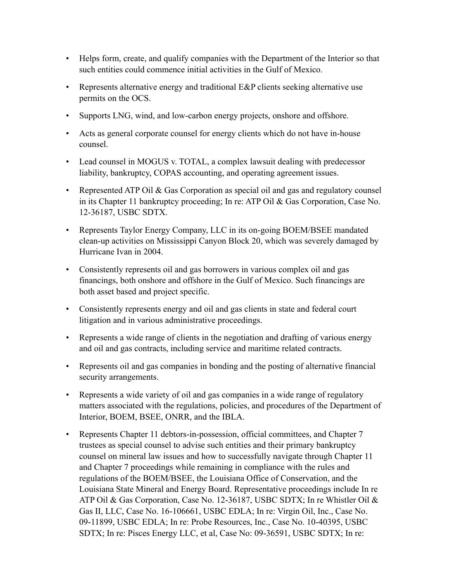- Helps form, create, and qualify companies with the Department of the Interior so that such entities could commence initial activities in the Gulf of Mexico.
- Represents alternative energy and traditional E&P clients seeking alternative use permits on the OCS.
- Supports LNG, wind, and low-carbon energy projects, onshore and offshore.
- Acts as general corporate counsel for energy clients which do not have in-house counsel.
- Lead counsel in MOGUS v. TOTAL, a complex lawsuit dealing with predecessor liability, bankruptcy, COPAS accounting, and operating agreement issues.
- Represented ATP Oil & Gas Corporation as special oil and gas and regulatory counsel in its Chapter 11 bankruptcy proceeding; In re: ATP Oil & Gas Corporation, Case No. 12-36187, USBC SDTX.
- Represents Taylor Energy Company, LLC in its on-going BOEM/BSEE mandated clean-up activities on Mississippi Canyon Block 20, which was severely damaged by Hurricane Ivan in 2004.
- Consistently represents oil and gas borrowers in various complex oil and gas financings, both onshore and offshore in the Gulf of Mexico. Such financings are both asset based and project specific.
- Consistently represents energy and oil and gas clients in state and federal court litigation and in various administrative proceedings.
- Represents a wide range of clients in the negotiation and drafting of various energy and oil and gas contracts, including service and maritime related contracts.
- Represents oil and gas companies in bonding and the posting of alternative financial security arrangements.
- Represents a wide variety of oil and gas companies in a wide range of regulatory matters associated with the regulations, policies, and procedures of the Department of Interior, BOEM, BSEE, ONRR, and the IBLA.
- Represents Chapter 11 debtors-in-possession, official committees, and Chapter 7 trustees as special counsel to advise such entities and their primary bankruptcy counsel on mineral law issues and how to successfully navigate through Chapter 11 and Chapter 7 proceedings while remaining in compliance with the rules and regulations of the BOEM/BSEE, the Louisiana Office of Conservation, and the Louisiana State Mineral and Energy Board. Representative proceedings include In re ATP Oil & Gas Corporation, Case No. 12-36187, USBC SDTX; In re Whistler Oil & Gas II, LLC, Case No. 16-106661, USBC EDLA; In re: Virgin Oil, Inc., Case No. 09-11899, USBC EDLA; In re: Probe Resources, Inc., Case No. 10-40395, USBC SDTX; In re: Pisces Energy LLC, et al, Case No: 09-36591, USBC SDTX; In re: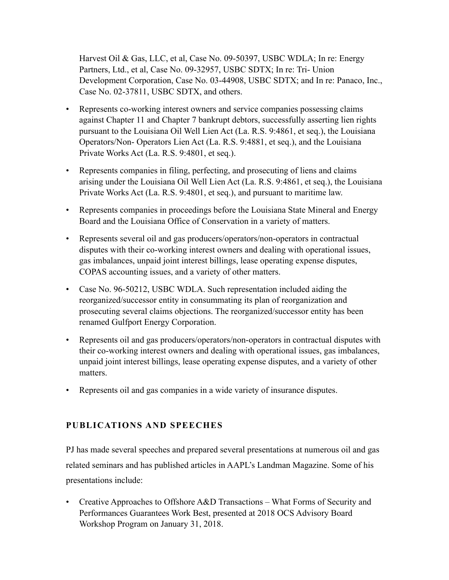Harvest Oil & Gas, LLC, et al, Case No. 09-50397, USBC WDLA; In re: Energy Partners, Ltd., et al, Case No. 09-32957, USBC SDTX; In re: Tri- Union Development Corporation, Case No. 03-44908, USBC SDTX; and In re: Panaco, Inc., Case No. 02-37811, USBC SDTX, and others.

- Represents co-working interest owners and service companies possessing claims against Chapter 11 and Chapter 7 bankrupt debtors, successfully asserting lien rights pursuant to the Louisiana Oil Well Lien Act (La. R.S. 9:4861, et seq.), the Louisiana Operators/Non- Operators Lien Act (La. R.S. 9:4881, et seq.), and the Louisiana Private Works Act (La. R.S. 9:4801, et seq.).
- Represents companies in filing, perfecting, and prosecuting of liens and claims arising under the Louisiana Oil Well Lien Act (La. R.S. 9:4861, et seq.), the Louisiana Private Works Act (La. R.S. 9:4801, et seq.), and pursuant to maritime law.
- Represents companies in proceedings before the Louisiana State Mineral and Energy Board and the Louisiana Office of Conservation in a variety of matters.
- Represents several oil and gas producers/operators/non-operators in contractual disputes with their co-working interest owners and dealing with operational issues, gas imbalances, unpaid joint interest billings, lease operating expense disputes, COPAS accounting issues, and a variety of other matters.
- Case No. 96-50212, USBC WDLA. Such representation included aiding the reorganized/successor entity in consummating its plan of reorganization and prosecuting several claims objections. The reorganized/successor entity has been renamed Gulfport Energy Corporation.
- Represents oil and gas producers/operators/non-operators in contractual disputes with their co-working interest owners and dealing with operational issues, gas imbalances, unpaid joint interest billings, lease operating expense disputes, and a variety of other matters.
- Represents oil and gas companies in a wide variety of insurance disputes.

### **PUBLICATIONS AND SPEECHES**

PJ has made several speeches and prepared several presentations at numerous oil and gas related seminars and has published articles in AAPL's Landman Magazine. Some of his presentations include:

• Creative Approaches to Offshore A&D Transactions – What Forms of Security and Performances Guarantees Work Best, presented at 2018 OCS Advisory Board Workshop Program on January 31, 2018.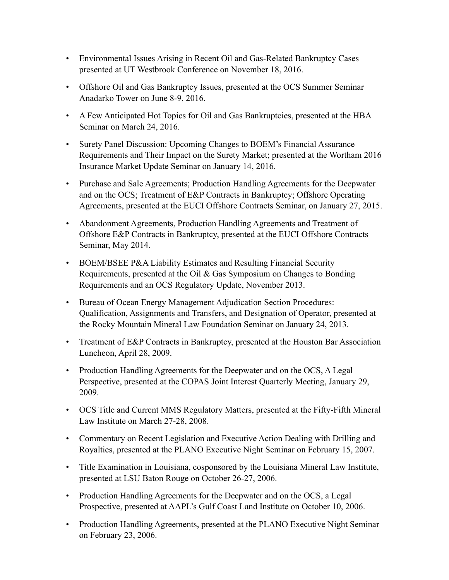- Environmental Issues Arising in Recent Oil and Gas-Related Bankruptcy Cases presented at UT Westbrook Conference on November 18, 2016.
- Offshore Oil and Gas Bankruptcy Issues, presented at the OCS Summer Seminar Anadarko Tower on June 8-9, 2016.
- A Few Anticipated Hot Topics for Oil and Gas Bankruptcies, presented at the HBA Seminar on March 24, 2016.
- Surety Panel Discussion: Upcoming Changes to BOEM's Financial Assurance Requirements and Their Impact on the Surety Market; presented at the Wortham 2016 Insurance Market Update Seminar on January 14, 2016.
- Purchase and Sale Agreements; Production Handling Agreements for the Deepwater and on the OCS; Treatment of E&P Contracts in Bankruptcy; Offshore Operating Agreements, presented at the EUCI Offshore Contracts Seminar, on January 27, 2015.
- Abandonment Agreements, Production Handling Agreements and Treatment of Offshore E&P Contracts in Bankruptcy, presented at the EUCI Offshore Contracts Seminar, May 2014.
- BOEM/BSEE P&A Liability Estimates and Resulting Financial Security Requirements, presented at the Oil & Gas Symposium on Changes to Bonding Requirements and an OCS Regulatory Update, November 2013.
- Bureau of Ocean Energy Management Adjudication Section Procedures: Qualification, Assignments and Transfers, and Designation of Operator, presented at the Rocky Mountain Mineral Law Foundation Seminar on January 24, 2013.
- Treatment of E&P Contracts in Bankruptcy, presented at the Houston Bar Association Luncheon, April 28, 2009.
- Production Handling Agreements for the Deepwater and on the OCS, A Legal Perspective, presented at the COPAS Joint Interest Quarterly Meeting, January 29, 2009.
- OCS Title and Current MMS Regulatory Matters, presented at the Fifty-Fifth Mineral Law Institute on March 27-28, 2008.
- Commentary on Recent Legislation and Executive Action Dealing with Drilling and Royalties, presented at the PLANO Executive Night Seminar on February 15, 2007.
- Title Examination in Louisiana, cosponsored by the Louisiana Mineral Law Institute, presented at LSU Baton Rouge on October 26-27, 2006.
- Production Handling Agreements for the Deepwater and on the OCS, a Legal Prospective, presented at AAPL's Gulf Coast Land Institute on October 10, 2006.
- Production Handling Agreements, presented at the PLANO Executive Night Seminar on February 23, 2006.